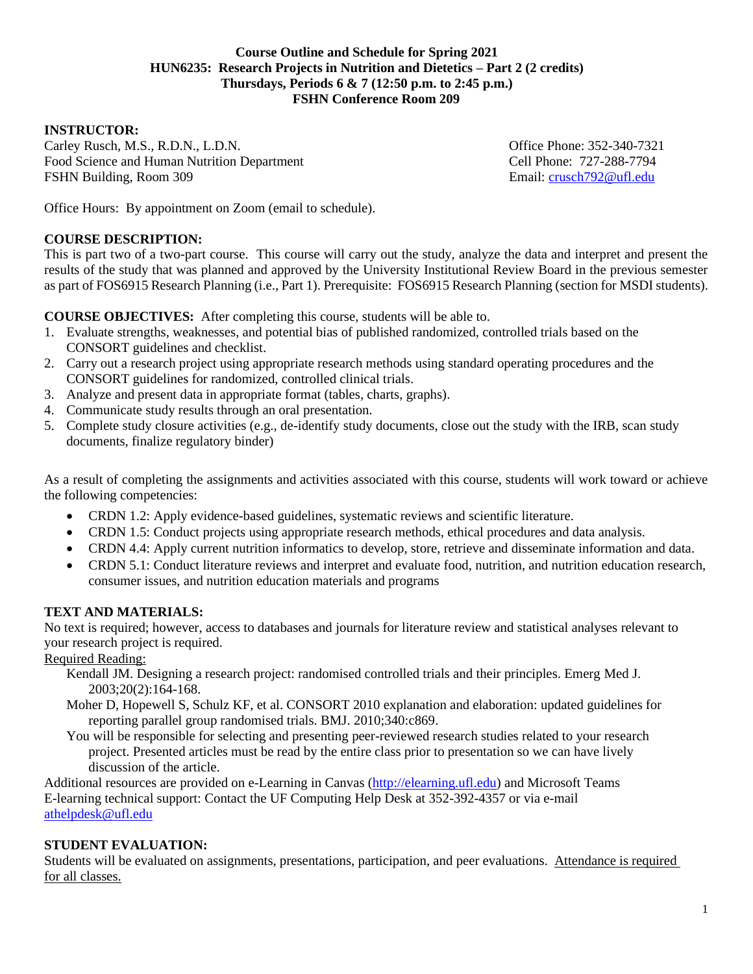#### **Course Outline and Schedule for Spring 2021 HUN6235: Research Projects in Nutrition and Dietetics – Part 2 (2 credits) Thursdays, Periods 6 & 7 (12:50 p.m. to 2:45 p.m.) FSHN Conference Room 209**

#### **INSTRUCTOR:**

Carley Rusch, M.S., R.D.N., L.D.N. Office Phone: 352-340-7321 Food Science and Human Nutrition Department Cell Phone: 727-288-7794 FSHN Building, Room 309 **Email: [crusch792@ufl.edu](mailto:crusch792@ufl.edu)** 

Office Hours: By appointment on Zoom (email to schedule).

#### **COURSE DESCRIPTION:**

This is part two of a two-part course. This course will carry out the study, analyze the data and interpret and present the results of the study that was planned and approved by the University Institutional Review Board in the previous semester as part of FOS6915 Research Planning (i.e., Part 1). Prerequisite: FOS6915 Research Planning (section for MSDI students).

**COURSE OBJECTIVES:** After completing this course, students will be able to.

- 1. Evaluate strengths, weaknesses, and potential bias of published randomized, controlled trials based on the CONSORT guidelines and checklist.
- 2. Carry out a research project using appropriate research methods using standard operating procedures and the CONSORT guidelines for randomized, controlled clinical trials.
- 3. Analyze and present data in appropriate format (tables, charts, graphs).
- 4. Communicate study results through an oral presentation.
- 5. Complete study closure activities (e.g., de-identify study documents, close out the study with the IRB, scan study documents, finalize regulatory binder)

As a result of completing the assignments and activities associated with this course, students will work toward or achieve the following competencies:

- CRDN 1.2: Apply evidence-based guidelines, systematic reviews and scientific literature.
- CRDN 1.5: Conduct projects using appropriate research methods, ethical procedures and data analysis.
- CRDN 4.4: Apply current nutrition informatics to develop, store, retrieve and disseminate information and data.
- CRDN 5.1: Conduct literature reviews and interpret and evaluate food, nutrition, and nutrition education research, consumer issues, and nutrition education materials and programs

# **TEXT AND MATERIALS:**

No text is required; however, access to databases and journals for literature review and statistical analyses relevant to your research project is required.

Required Reading:

- Kendall JM. Designing a research project: randomised controlled trials and their principles. Emerg Med J. 2003;20(2):164-168.
- Moher D, Hopewell S, Schulz KF, et al. CONSORT 2010 explanation and elaboration: updated guidelines for reporting parallel group randomised trials. BMJ. 2010;340:c869.
- You will be responsible for selecting and presenting peer-reviewed research studies related to your research project. Presented articles must be read by the entire class prior to presentation so we can have lively discussion of the article.

Additional resources are provided on e-Learning in Canvas [\(http://elearning.ufl.edu\)](http://elearning.ufl.edu/) and Microsoft Teams E-learning technical support: Contact the UF Computing Help Desk at 352-392-4357 or via e-mail [athelpdesk@ufl.edu](mailto:athelpdesk@ufl.edu)

# **STUDENT EVALUATION:**

Students will be evaluated on assignments, presentations, participation, and peer evaluations. Attendance is required for all classes.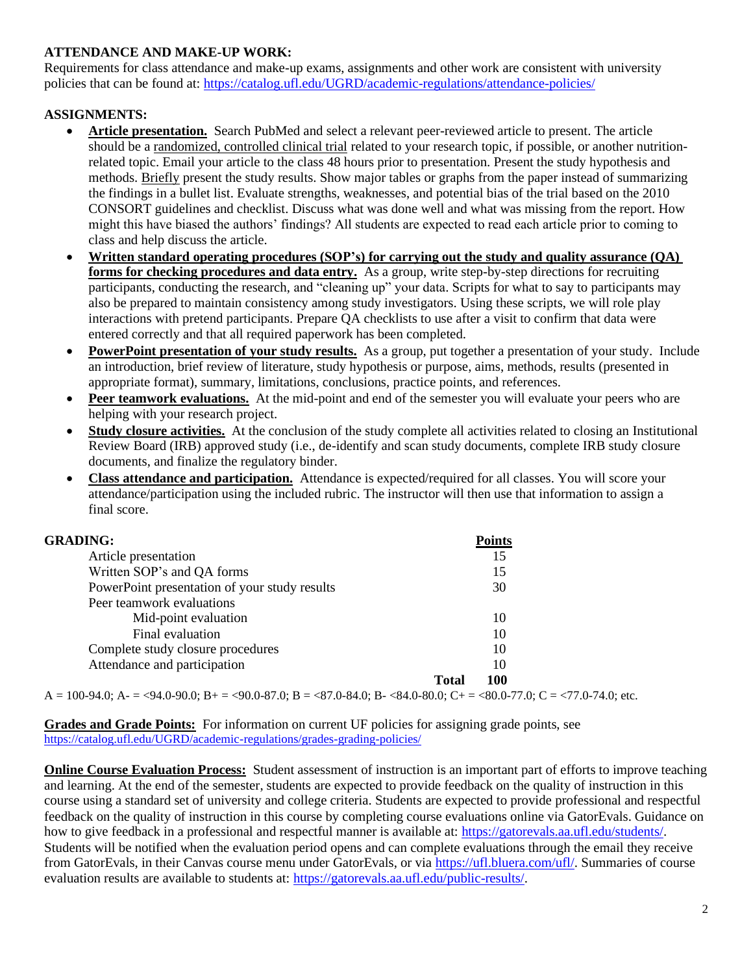# **ATTENDANCE AND MAKE-UP WORK:**

Requirements for class attendance and make-up exams, assignments and other work are consistent with university policies that can be found at:<https://catalog.ufl.edu/UGRD/academic-regulations/attendance-policies/>

# **ASSIGNMENTS:**

- **Article presentation.** Search PubMed and select a relevant peer-reviewed article to present. The article should be a randomized, controlled clinical trial related to your research topic, if possible, or another nutritionrelated topic. Email your article to the class 48 hours prior to presentation. Present the study hypothesis and methods. Briefly present the study results. Show major tables or graphs from the paper instead of summarizing the findings in a bullet list. Evaluate strengths, weaknesses, and potential bias of the trial based on the 2010 CONSORT guidelines and checklist. Discuss what was done well and what was missing from the report. How might this have biased the authors' findings? All students are expected to read each article prior to coming to class and help discuss the article.
- **Written standard operating procedures (SOP's) for carrying out the study and quality assurance (QA) forms for checking procedures and data entry.** As a group, write step-by-step directions for recruiting participants, conducting the research, and "cleaning up" your data. Scripts for what to say to participants may also be prepared to maintain consistency among study investigators. Using these scripts, we will role play interactions with pretend participants. Prepare QA checklists to use after a visit to confirm that data were entered correctly and that all required paperwork has been completed.
- **PowerPoint presentation of your study results.** As a group, put together a presentation of your study. Include an introduction, brief review of literature, study hypothesis or purpose, aims, methods, results (presented in appropriate format), summary, limitations, conclusions, practice points, and references.
- **Peer teamwork evaluations.** At the mid-point and end of the semester you will evaluate your peers who are helping with your research project.
- **Study closure activities.** At the conclusion of the study complete all activities related to closing an Institutional Review Board (IRB) approved study (i.e., de-identify and scan study documents, complete IRB study closure documents, and finalize the regulatory binder.
- **Class attendance and participation.** Attendance is expected/required for all classes. You will score your attendance/participation using the included rubric. The instructor will then use that information to assign a final score.

| <b>GRADING:</b>                                                                                                                   | <b>Points</b>       |
|-----------------------------------------------------------------------------------------------------------------------------------|---------------------|
| Article presentation                                                                                                              | 15                  |
| Written SOP's and QA forms                                                                                                        | 15                  |
| PowerPoint presentation of your study results                                                                                     | 30                  |
| Peer teamwork evaluations                                                                                                         |                     |
| Mid-point evaluation                                                                                                              | 10                  |
| Final evaluation                                                                                                                  | 10                  |
| Complete study closure procedures                                                                                                 | 10                  |
| Attendance and participation                                                                                                      | 10                  |
|                                                                                                                                   | <b>Total</b><br>100 |
| $A = 100-94.0$ ; $A = 94.0-90.0$ ; $B = 90.0-87.0$ ; $B = 87.0-84.0$ ; $B = 84.0-80.0$ ; $C = 80.0-77.0$ ; $C = 77.0-74.0$ ; etc. |                     |

**Grades and Grade Points:** For information on current UF policies for assigning grade points, see <https://catalog.ufl.edu/UGRD/academic-regulations/grades-grading-policies/>

**Online Course Evaluation Process:** Student assessment of instruction is an important part of efforts to improve teaching and learning. At the end of the semester, students are expected to provide feedback on the quality of instruction in this course using a standard set of university and college criteria. Students are expected to provide professional and respectful feedback on the quality of instruction in this course by completing course evaluations online via GatorEvals. Guidance on how to give feedback in a professional and respectful manner is available at: [https://gatorevals.aa.ufl.edu/students/.](https://gatorevals.aa.ufl.edu/students/) Students will be notified when the evaluation period opens and can complete evaluations through the email they receive from GatorEvals, in their Canvas course menu under GatorEvals, or via [https://ufl.bluera.com/ufl/.](https://ufl.bluera.com/ufl/) Summaries of course evaluation results are available to students at: [https://gatorevals.aa.ufl.edu/public-results/.](https://gatorevals.aa.ufl.edu/public-results/)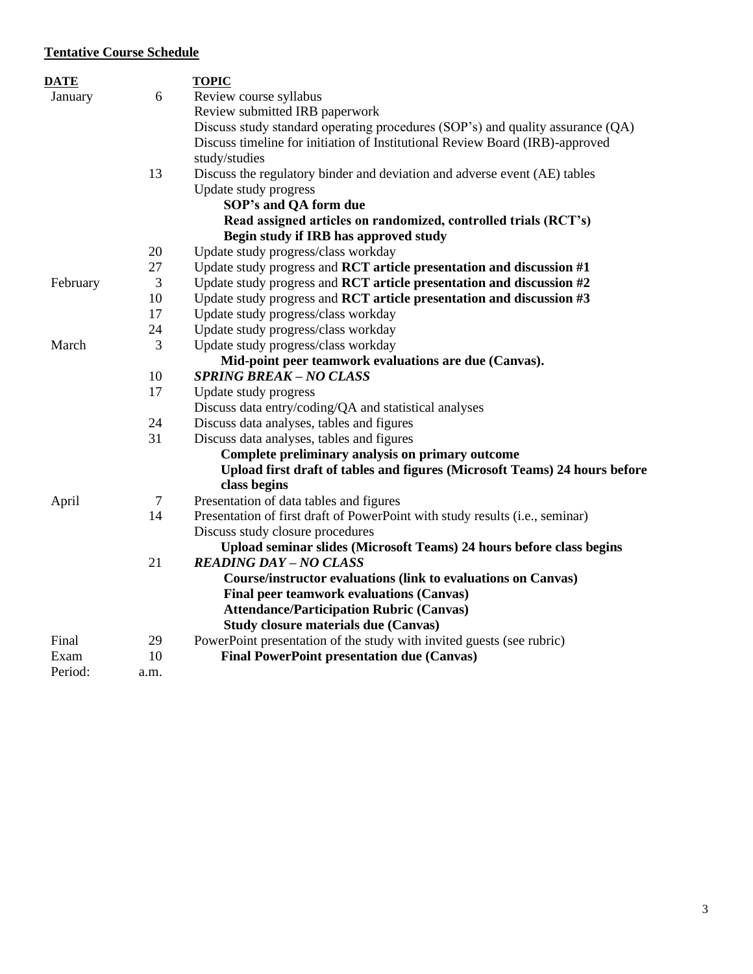# **Tentative Course Schedule**

| <b>DATE</b> |                | <b>TOPIC</b>                                                                   |
|-------------|----------------|--------------------------------------------------------------------------------|
| January     | 6              | Review course syllabus                                                         |
|             |                | Review submitted IRB paperwork                                                 |
|             |                | Discuss study standard operating procedures (SOP's) and quality assurance (QA) |
|             |                | Discuss timeline for initiation of Institutional Review Board (IRB)-approved   |
|             |                | study/studies                                                                  |
|             | 13             | Discuss the regulatory binder and deviation and adverse event (AE) tables      |
|             |                | Update study progress                                                          |
|             |                | SOP's and QA form due                                                          |
|             |                | Read assigned articles on randomized, controlled trials (RCT's)                |
|             |                | Begin study if IRB has approved study                                          |
|             | 20             | Update study progress/class workday                                            |
|             | 27             | Update study progress and RCT article presentation and discussion #1           |
| February    | $\mathfrak{Z}$ | Update study progress and RCT article presentation and discussion #2           |
|             | 10             | Update study progress and RCT article presentation and discussion #3           |
|             | 17             | Update study progress/class workday                                            |
|             | 24             | Update study progress/class workday                                            |
| March       | 3              | Update study progress/class workday                                            |
|             |                | Mid-point peer teamwork evaluations are due (Canvas).                          |
|             | 10             | <b>SPRING BREAK-NO CLASS</b>                                                   |
|             | 17             | Update study progress                                                          |
|             |                | Discuss data entry/coding/QA and statistical analyses                          |
|             | 24             | Discuss data analyses, tables and figures                                      |
|             | 31             | Discuss data analyses, tables and figures                                      |
|             |                | Complete preliminary analysis on primary outcome                               |
|             |                | Upload first draft of tables and figures (Microsoft Teams) 24 hours before     |
|             |                | class begins                                                                   |
| April       | $\tau$         | Presentation of data tables and figures                                        |
|             | 14             | Presentation of first draft of PowerPoint with study results (i.e., seminar)   |
|             |                | Discuss study closure procedures                                               |
|             |                | Upload seminar slides (Microsoft Teams) 24 hours before class begins           |
|             | 21             | <b>READING DAY - NO CLASS</b>                                                  |
|             |                | <b>Course/instructor evaluations (link to evaluations on Canvas)</b>           |
|             |                | Final peer teamwork evaluations (Canvas)                                       |
|             |                | <b>Attendance/Participation Rubric (Canvas)</b>                                |
|             |                | <b>Study closure materials due (Canvas)</b>                                    |
| Final       | 29             | PowerPoint presentation of the study with invited guests (see rubric)          |
| Exam        | 10             | <b>Final PowerPoint presentation due (Canvas)</b>                              |
| Period:     | a.m.           |                                                                                |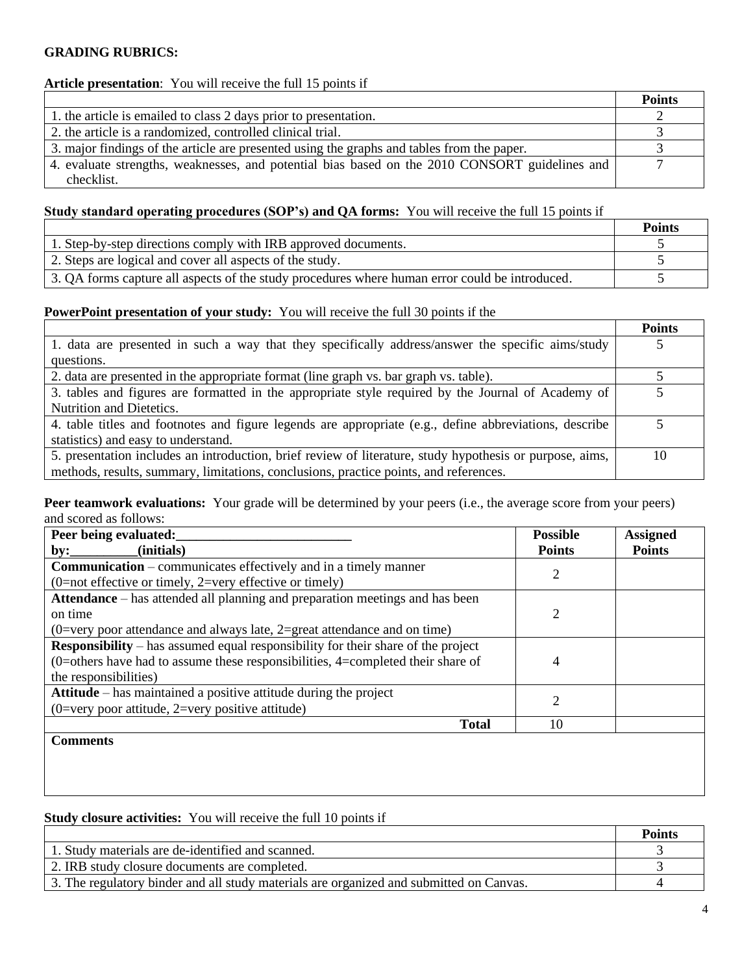#### **GRADING RUBRICS:**

#### **Article presentation**: You will receive the full 15 points if

|                                                                                                | <b>Points</b> |
|------------------------------------------------------------------------------------------------|---------------|
| 1. the article is emailed to class 2 days prior to presentation.                               |               |
| 2. the article is a randomized, controlled clinical trial.                                     |               |
| 3. major findings of the article are presented using the graphs and tables from the paper.     |               |
| 4. evaluate strengths, weaknesses, and potential bias based on the 2010 CONSORT guidelines and |               |
| checklist.                                                                                     |               |

# **Study standard operating procedures (SOP's) and QA forms:** You will receive the full 15 points if

|                                                                                                | <b>Points</b> |
|------------------------------------------------------------------------------------------------|---------------|
| 1. Step-by-step directions comply with IRB approved documents.                                 |               |
| 2. Steps are logical and cover all aspects of the study.                                       |               |
| 3. QA forms capture all aspects of the study procedures where human error could be introduced. |               |

#### **PowerPoint presentation of your study:** You will receive the full 30 points if the

|                                                                                                          | <b>Points</b> |
|----------------------------------------------------------------------------------------------------------|---------------|
| 1. data are presented in such a way that they specifically address/answer the specific aims/study        |               |
| questions.                                                                                               |               |
| 2. data are presented in the appropriate format (line graph vs. bar graph vs. table).                    |               |
| 3. tables and figures are formatted in the appropriate style required by the Journal of Academy of       |               |
| Nutrition and Dietetics.                                                                                 |               |
| 4. table titles and footnotes and figure legends are appropriate (e.g., define abbreviations, describe   |               |
| statistics) and easy to understand.                                                                      |               |
| 5. presentation includes an introduction, brief review of literature, study hypothesis or purpose, aims, | 10            |
| methods, results, summary, limitations, conclusions, practice points, and references.                    |               |

**Peer teamwork evaluations:** Your grade will be determined by your peers (i.e., the average score from your peers) and scored as follows:

| Peer being evaluated:                                                                   | <b>Possible</b> | <b>Assigned</b> |
|-----------------------------------------------------------------------------------------|-----------------|-----------------|
| (initials)<br>by:                                                                       | <b>Points</b>   | <b>Points</b>   |
| <b>Communication</b> – communicates effectively and in a timely manner                  | 2               |                 |
| $(0=$ not effective or timely, 2=very effective or timely)                              |                 |                 |
| Attendance – has attended all planning and preparation meetings and has been            |                 |                 |
| on time                                                                                 | 2               |                 |
| (0=very poor attendance and always late, 2=great attendance and on time)                |                 |                 |
| <b>Responsibility</b> – has assumed equal responsibility for their share of the project |                 |                 |
| $(0=$ others have had to assume these responsibilities, 4=completed their share of      | 4               |                 |
| the responsibilities)                                                                   |                 |                 |
| Attitude – has maintained a positive attitude during the project                        | 2               |                 |
| $(0=$ very poor attitude, 2=very positive attitude)                                     |                 |                 |
| <b>Total</b>                                                                            | 10              |                 |
| <b>Comments</b>                                                                         |                 |                 |
|                                                                                         |                 |                 |

# **Study closure activities:** You will receive the full 10 points if

|                                                                                         | Points |
|-----------------------------------------------------------------------------------------|--------|
| 1. Study materials are de-identified and scanned.                                       |        |
| 2. IRB study closure documents are completed.                                           |        |
| 3. The regulatory binder and all study materials are organized and submitted on Canvas. |        |

 $\overline{\phantom{a}}$  . The contract of  $\overline{\phantom{a}}$  ,  $\overline{\phantom{a}}$  ,  $\overline{\phantom{a}}$  ,  $\overline{\phantom{a}}$  ,  $\overline{\phantom{a}}$  ,  $\overline{\phantom{a}}$  ,  $\overline{\phantom{a}}$  ,  $\overline{\phantom{a}}$  ,  $\overline{\phantom{a}}$  ,  $\overline{\phantom{a}}$  ,  $\overline{\phantom{a}}$  ,  $\overline{\phantom{a}}$  ,  $\overline{\phantom{a}}$  ,  $\overline{\phantom{a$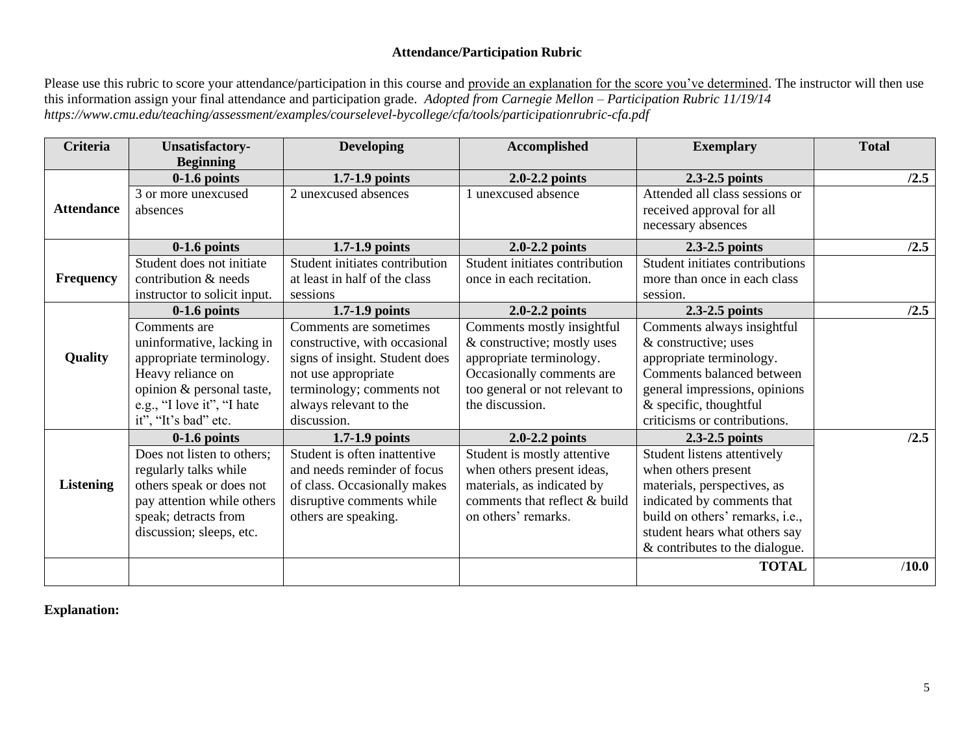# **Attendance/Participation Rubric**

Please use this rubric to score your attendance/participation in this course and provide an explanation for the score you've determined. The instructor will then use this information assign your final attendance and participation grade. *Adopted from Carnegie Mellon – Participation Rubric 11/19/14 https://www.cmu.edu/teaching/assessment/examples/courselevel-bycollege/cfa/tools/participationrubric-cfa.pdf*

| <b>Criteria</b>   | <b>Unsatisfactory-</b>                                                                                                                                            | <b>Developing</b>                                                                                                                                                       | <b>Accomplished</b>                                                                                                                                                     | <b>Exemplary</b>                                                                                                                                                                                                      | <b>Total</b> |
|-------------------|-------------------------------------------------------------------------------------------------------------------------------------------------------------------|-------------------------------------------------------------------------------------------------------------------------------------------------------------------------|-------------------------------------------------------------------------------------------------------------------------------------------------------------------------|-----------------------------------------------------------------------------------------------------------------------------------------------------------------------------------------------------------------------|--------------|
|                   | <b>Beginning</b><br>$0-1.6$ points                                                                                                                                | $1.7 - 1.9$ points                                                                                                                                                      | $2.0 - 2.2$ points                                                                                                                                                      | 2.3-2.5 points                                                                                                                                                                                                        | /2.5         |
| <b>Attendance</b> | 3 or more unexcused<br>absences                                                                                                                                   | 2 unexcused absences                                                                                                                                                    | unexcused absence                                                                                                                                                       | Attended all class sessions or<br>received approval for all<br>necessary absences                                                                                                                                     |              |
|                   | $0-1.6$ points                                                                                                                                                    | $1.7 - 1.9$ points                                                                                                                                                      | $2.0 - 2.2$ points                                                                                                                                                      | 2.3-2.5 points                                                                                                                                                                                                        | /2.5         |
| <b>Frequency</b>  | Student does not initiate<br>contribution & needs<br>instructor to solicit input.                                                                                 | Student initiates contribution<br>at least in half of the class<br>sessions                                                                                             | Student initiates contribution<br>once in each recitation.                                                                                                              | Student initiates contributions<br>more than once in each class<br>session.                                                                                                                                           |              |
|                   | $0-1.6$ points                                                                                                                                                    | $1.7 - 1.9$ points                                                                                                                                                      | $2.0 - 2.2$ points                                                                                                                                                      | 2.3-2.5 points                                                                                                                                                                                                        | /2.5         |
| <b>Quality</b>    | Comments are<br>uninformative, lacking in<br>appropriate terminology.<br>Heavy reliance on<br>opinion & personal taste,<br>e.g., "I love it", "I hate             | Comments are sometimes<br>constructive, with occasional<br>signs of insight. Student does<br>not use appropriate<br>terminology; comments not<br>always relevant to the | Comments mostly insightful<br>& constructive; mostly uses<br>appropriate terminology.<br>Occasionally comments are<br>too general or not relevant to<br>the discussion. | Comments always insightful<br>& constructive; uses<br>appropriate terminology.<br>Comments balanced between<br>general impressions, opinions<br>$&$ specific, thoughtful                                              |              |
|                   | it", "It's bad" etc.                                                                                                                                              | discussion.                                                                                                                                                             |                                                                                                                                                                         | criticisms or contributions.                                                                                                                                                                                          |              |
|                   | $0-1.6$ points                                                                                                                                                    | $1.7 - 1.9$ points                                                                                                                                                      | $2.0 - 2.2$ points                                                                                                                                                      | 2.3-2.5 points                                                                                                                                                                                                        | /2.5         |
| <b>Listening</b>  | Does not listen to others;<br>regularly talks while<br>others speak or does not<br>pay attention while others<br>speak; detracts from<br>discussion; sleeps, etc. | Student is often inattentive<br>and needs reminder of focus<br>of class. Occasionally makes<br>disruptive comments while<br>others are speaking.                        | Student is mostly attentive<br>when others present ideas,<br>materials, as indicated by<br>comments that reflect & build<br>on others' remarks.                         | Student listens attentively<br>when others present<br>materials, perspectives, as<br>indicated by comments that<br>build on others' remarks, i.e.,<br>student hears what others say<br>& contributes to the dialogue. |              |
|                   |                                                                                                                                                                   |                                                                                                                                                                         |                                                                                                                                                                         | <b>TOTAL</b>                                                                                                                                                                                                          | /10.0        |

**Explanation:**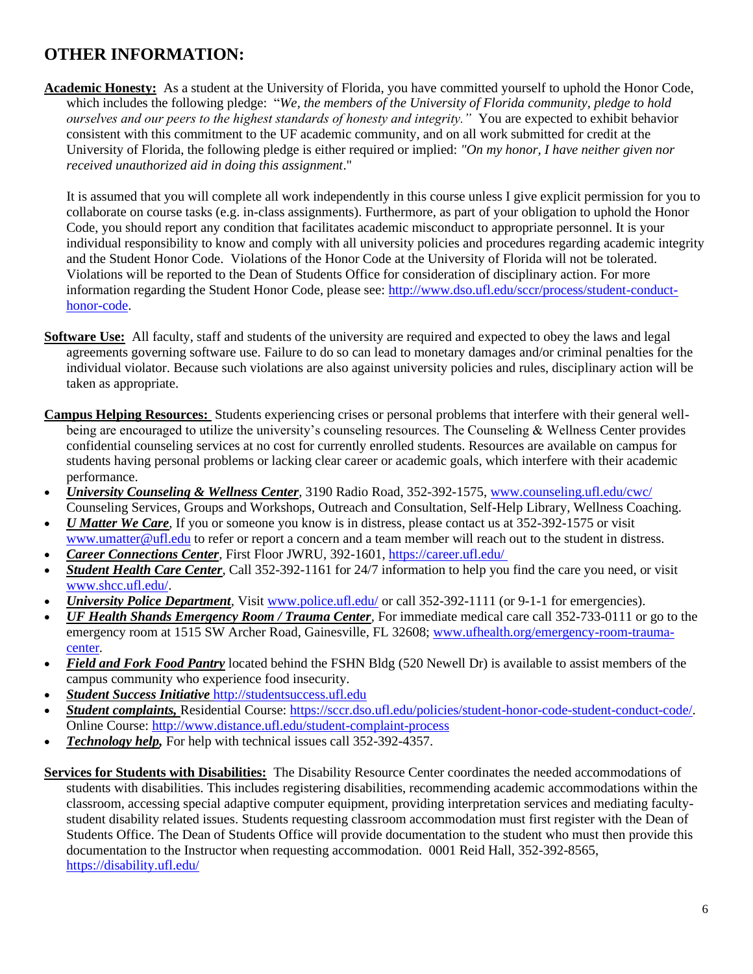# **OTHER INFORMATION:**

**Academic Honesty:** As a student at the University of Florida, you have committed yourself to uphold the Honor Code, which includes the following pledge: "*We, the members of the University of Florida community, pledge to hold ourselves and our peers to the highest standards of honesty and integrity.*" You are expected to exhibit behavior consistent with this commitment to the UF academic community, and on all work submitted for credit at the University of Florida, the following pledge is either required or implied: *"On my honor, I have neither given nor received unauthorized aid in doing this assignment*."

It is assumed that you will complete all work independently in this course unless I give explicit permission for you to collaborate on course tasks (e.g. in-class assignments). Furthermore, as part of your obligation to uphold the Honor Code, you should report any condition that facilitates academic misconduct to appropriate personnel. It is your individual responsibility to know and comply with all university policies and procedures regarding academic integrity and the Student Honor Code. Violations of the Honor Code at the University of Florida will not be tolerated. Violations will be reported to the Dean of Students Office for consideration of disciplinary action. For more information regarding the Student Honor Code, please see: [http://www.dso.ufl.edu/sccr/process/student-conduct](http://www.dso.ufl.edu/sccr/process/student-conduct-honor-code)[honor-code.](http://www.dso.ufl.edu/sccr/process/student-conduct-honor-code)

- **Software Use:** All faculty, staff and students of the university are required and expected to obey the laws and legal agreements governing software use. Failure to do so can lead to monetary damages and/or criminal penalties for the individual violator. Because such violations are also against university policies and rules, disciplinary action will be taken as appropriate.
- **Campus Helping Resources:** Students experiencing crises or personal problems that interfere with their general wellbeing are encouraged to utilize the university's counseling resources. The Counseling & Wellness Center provides confidential counseling services at no cost for currently enrolled students. Resources are available on campus for students having personal problems or lacking clear career or academic goals, which interfere with their academic performance.
- *University Counseling & Wellness Center,* 3190 Radio Road, 352-392-1575, [www.counseling.ufl.edu/cwc/](file:///C:/Users/henken/Documents/New%20courses/www.counseling.ufl.edu/cwc/) Counseling Services, Groups and Workshops, Outreach and Consultation, Self-Help Library, Wellness Coaching.
- *U Matter We Care*, If you or someone you know is in distress, please contact us at 352-392-1575 or visit [www.umatter@ufl.edu](file:///C:/Users/henken/Documents/New%20courses/www.umatter@ufl.edu) to refer or report a concern and a team member will reach out to the student in distress.
- *Career Connections Center,* First Floor JWRU, 392-1601,<https://career.ufl.edu/>
- *Student Health Care Center*, Call 352-392-1161 for 24/7 information to help you find the care you need, or visit [www.shcc.ufl.edu/.](file:///C:/Users/henken/Documents/New%20courses/www.shcc.ufl.edu/)
- *University Police Department,* Visit [www.police.ufl.edu/](file:///C:/Users/henken/Documents/New%20courses/www.police.ufl.edu/) or call 352-392-1111 (or 9-1-1 for emergencies).
- *UF Health Shands Emergency Room / Trauma Center,* For immediate medical care call 352-733-0111 or go to the emergency room at 1515 SW Archer Road, Gainesville, FL 32608; [www.ufhealth.org/emergency-room-trauma](file:///C:/Users/henken/Documents/New%20courses/www.ufhealth.org/emergency-room-trauma-center)[center](file:///C:/Users/henken/Documents/New%20courses/www.ufhealth.org/emergency-room-trauma-center)*.*
- *Field and Fork Food Pantry* located behind the FSHN Bldg (520 Newell Dr) is available to assist members of the campus community who experience food insecurity.
- *Student Success Initiative* [http://studentsuccess.ufl.edu](http://studentsuccess.ufl.edu/)
- *Student complaints,* Residential Course: [https://sccr.dso.ufl.edu/policies/student-honor-code-student-conduct-code/.](https://sccr.dso.ufl.edu/policies/student-honor-code-student-conduct-code/) Online Course[: http://www.distance.ufl.edu/student-complaint-process](http://www.distance.ufl.edu/student-complaint-process)
- *Technology help,* For help with technical issues call 352-392-4357.
- **Services for Students with Disabilities:** The Disability Resource Center coordinates the needed accommodations of students with disabilities. This includes registering disabilities, recommending academic accommodations within the classroom, accessing special adaptive computer equipment, providing interpretation services and mediating facultystudent disability related issues. Students requesting classroom accommodation must first register with the Dean of Students Office. The Dean of Students Office will provide documentation to the student who must then provide this documentation to the Instructor when requesting accommodation. 0001 Reid Hall, 352-392-8565, <https://disability.ufl.edu/>